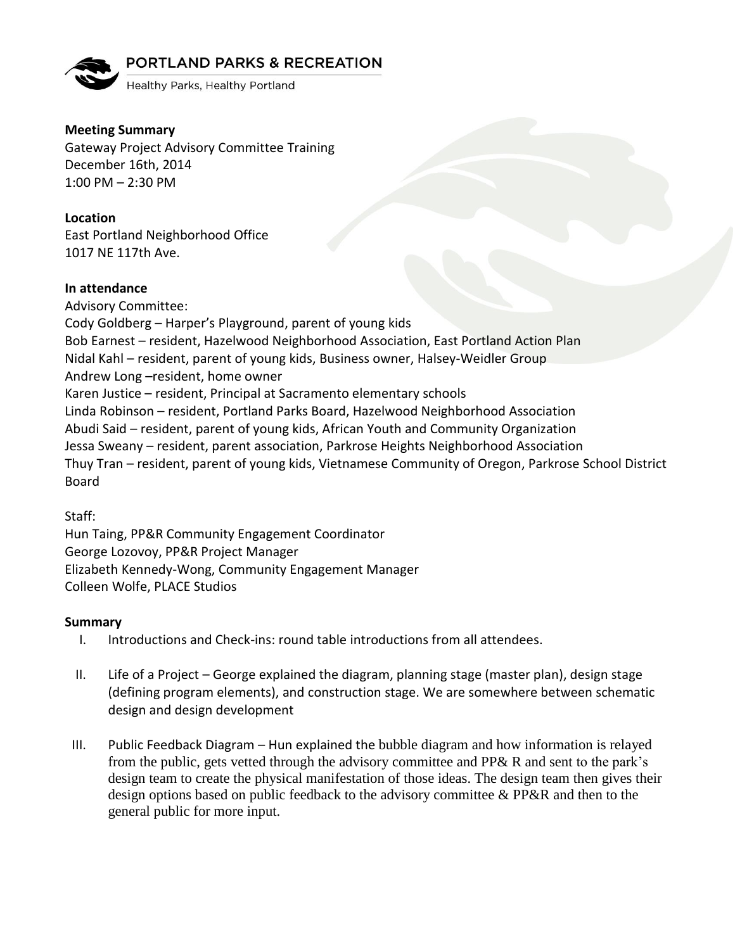## **PORTLAND PARKS & RECREATION**



Healthy Parks, Healthy Portland

**Meeting Summary** Gateway Project Advisory Committee Training December 16th, 2014 1:00 PM – 2:30 PM

**Location** East Portland Neighborhood Office 1017 NE 117th Ave.

## **In attendance**

Advisory Committee: Cody Goldberg – Harper's Playground, parent of young kids Bob Earnest – resident, Hazelwood Neighborhood Association, East Portland Action Plan Nidal Kahl – resident, parent of young kids, Business owner, Halsey-Weidler Group Andrew Long –resident, home owner Karen Justice – resident, Principal at Sacramento elementary schools Linda Robinson – resident, Portland Parks Board, Hazelwood Neighborhood Association Abudi Said – resident, parent of young kids, African Youth and Community Organization Jessa Sweany – resident, parent association, Parkrose Heights Neighborhood Association Thuy Tran – resident, parent of young kids, Vietnamese Community of Oregon, Parkrose School District Board

Staff:

Hun Taing, PP&R Community Engagement Coordinator George Lozovoy, PP&R Project Manager Elizabeth Kennedy-Wong, Community Engagement Manager Colleen Wolfe, PLACE Studios

## **Summary**

- I. Introductions and Check-ins: round table introductions from all attendees.
- II. Life of a Project George explained the diagram, planning stage (master plan), design stage (defining program elements), and construction stage. We are somewhere between schematic design and design development
- III. Public Feedback Diagram Hun explained the bubble diagram and how information is relayed from the public, gets vetted through the advisory committee and PP& R and sent to the park's design team to create the physical manifestation of those ideas. The design team then gives their design options based on public feedback to the advisory committee & PP&R and then to the general public for more input.